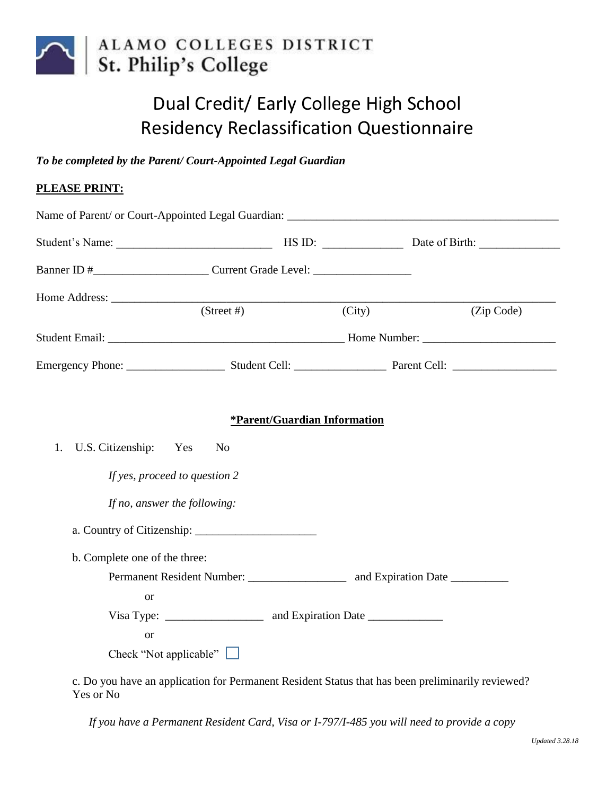

## Dual Credit/ Early College High School Residency Reclassification Questionnaire

*To be completed by the Parent/ Court-Appointed Legal Guardian* 

## **PLEASE PRINT:**

|                               | $(Street \#)$                | $\overline{(City)}$ | (Zip Code) |
|-------------------------------|------------------------------|---------------------|------------|
|                               |                              |                     |            |
|                               |                              |                     |            |
|                               | *Parent/Guardian Information |                     |            |
| U.S. Citizenship: Yes<br>1.   | N <sub>o</sub>               |                     |            |
| If yes, proceed to question 2 |                              |                     |            |
| If no, answer the following:  |                              |                     |            |
|                               |                              |                     |            |
| b. Complete one of the three: |                              |                     |            |
|                               |                              |                     |            |
| <b>or</b>                     |                              |                     |            |
|                               |                              |                     |            |
|                               |                              |                     |            |
| <b>or</b>                     |                              |                     |            |

c. Do you have an application for Permanent Resident Status that has been preliminarily reviewed? Yes or No

*If you have a Permanent Resident Card, Visa or I-797/I-485 you will need to provide a copy*